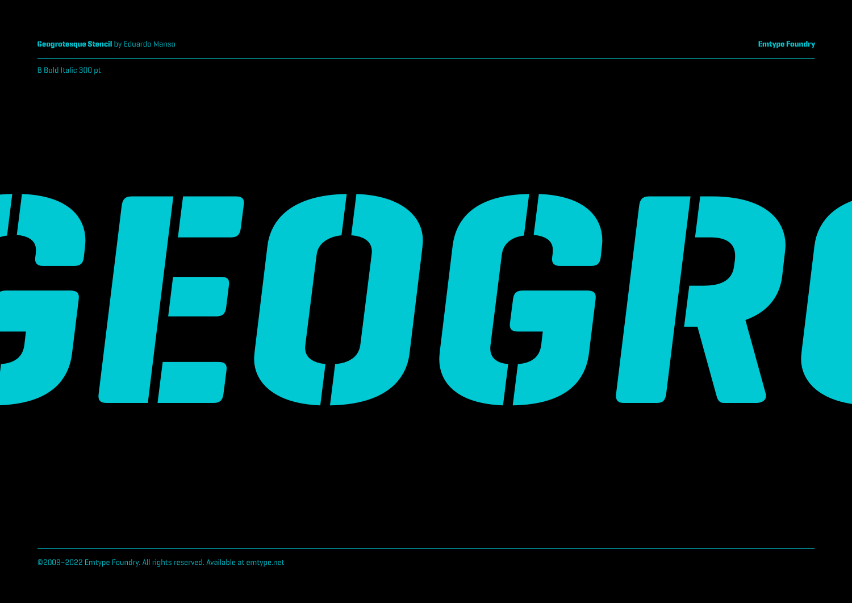B Bold Italic 300 pt

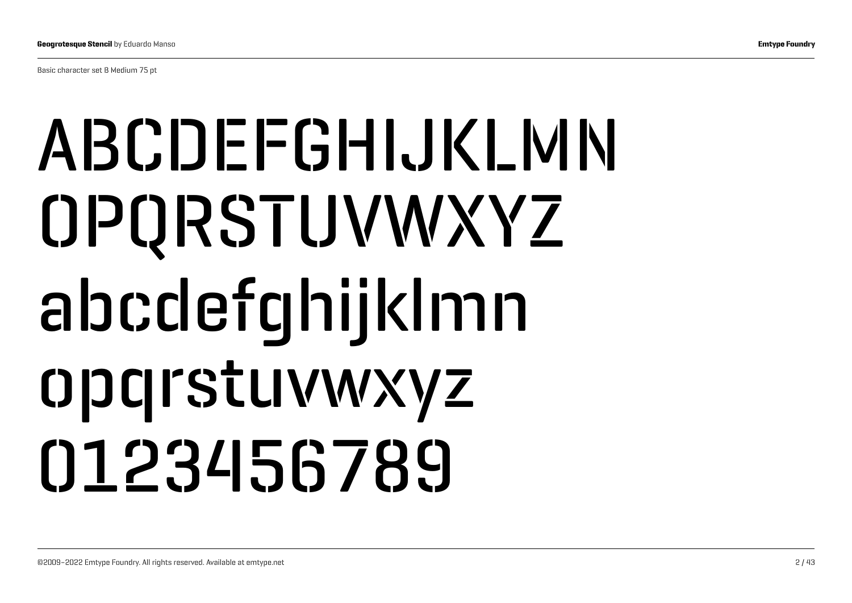Basic character set B Medium 75 pt

# ABCDEFGHIJKLMN OPQRSTUVWXYZ abcdefghijklmn opqrstuvwxyz 0123456789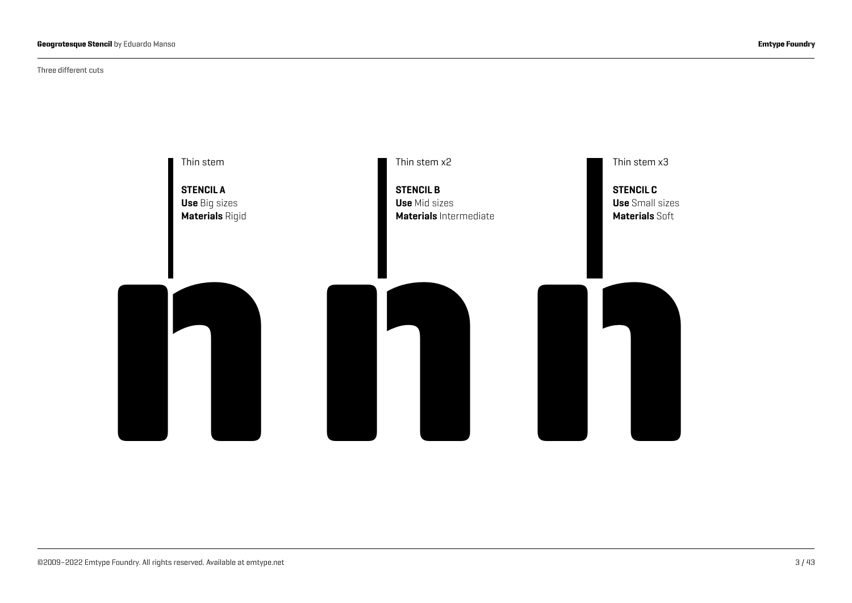Three different cuts

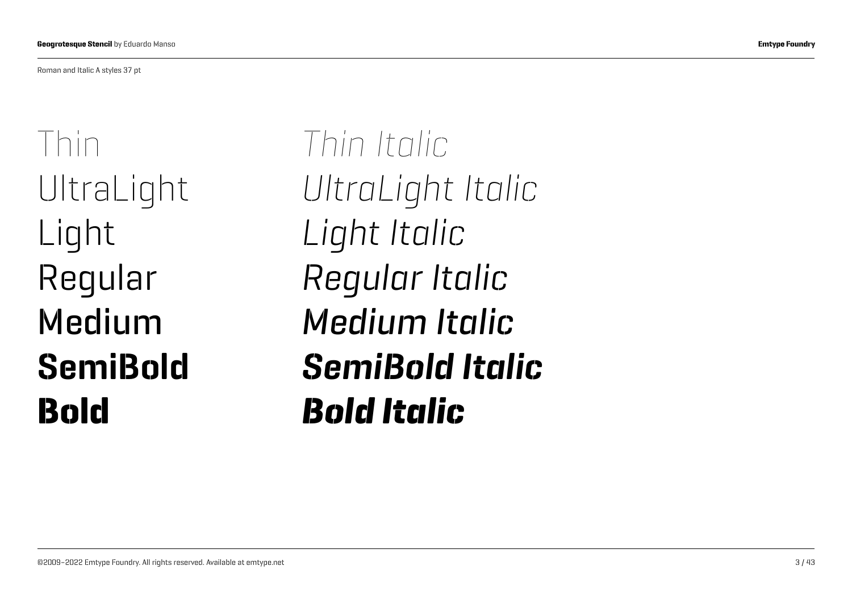Roman and Italic A styles 37 pt

Thin UltraLight Light Regular Medium SemiBold Bold

*Thin Italic UltraLight Italic Light Italic Regular Italic Medium Italic SemiBold Italic Bold Italic*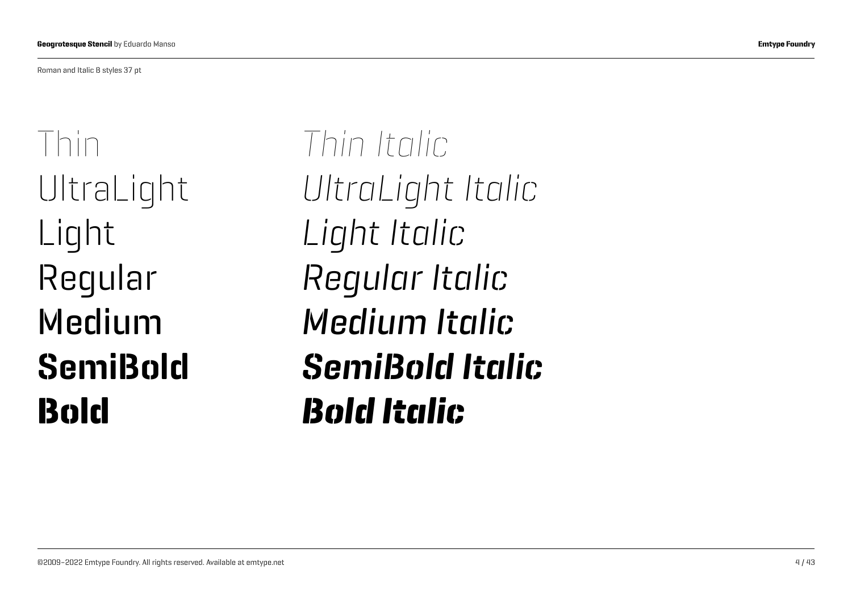Roman and Italic B styles 37 pt

Thin UltraLight Light Regular Medium SemiBold Bold

*Thin Italic UltraLight Italic Light Italic Regular Italic Medium Italic SemiBold Italic Bold Italic*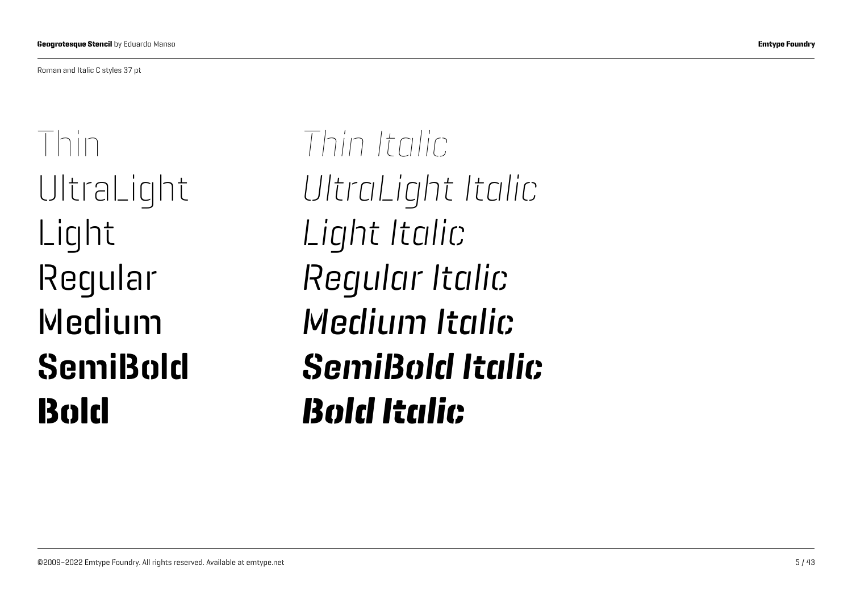Roman and Italic C styles 37 pt

Thin UltraLight Light Regular Medium SemiBold Bold

*Thin Italic UltraLight Italic Light Italic Regular Italic Medium Italic SemiBold Italic Bold Italic*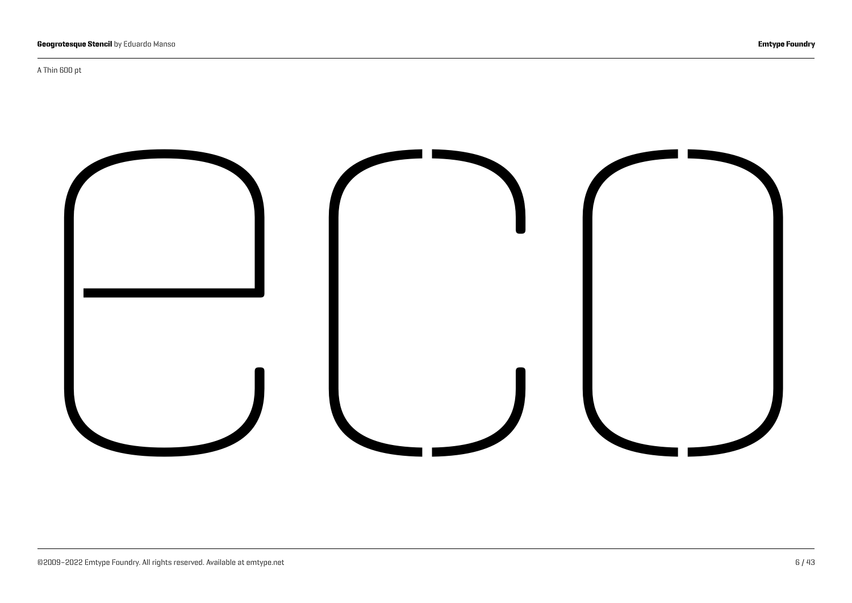A Thin 600 pt

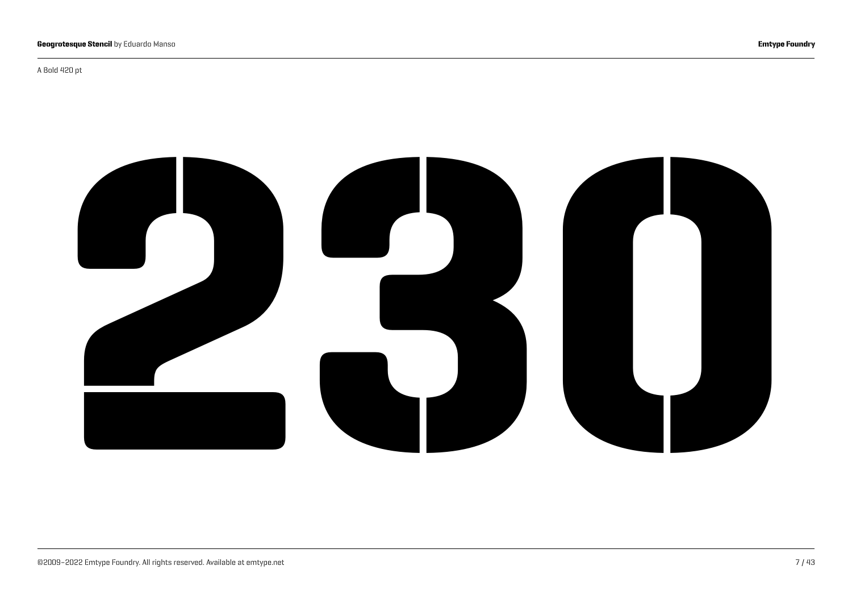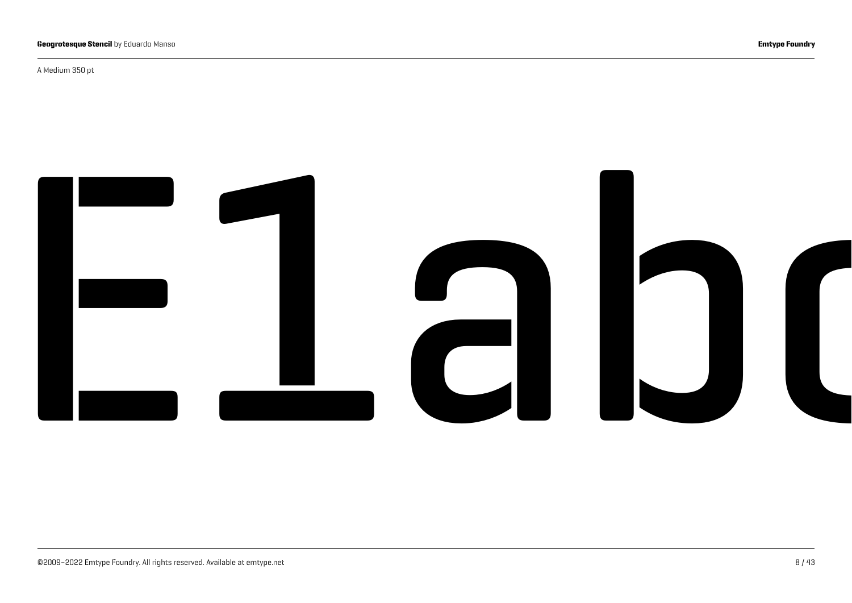A Medium 350 pt

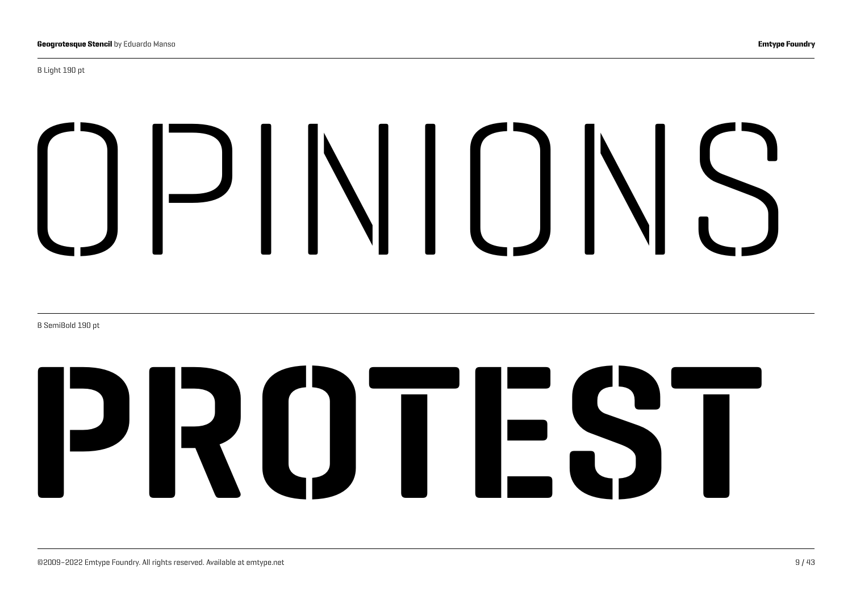#### B Light 190 pt

# OPINIONS

B SemiBold 190 pt

# PROTEST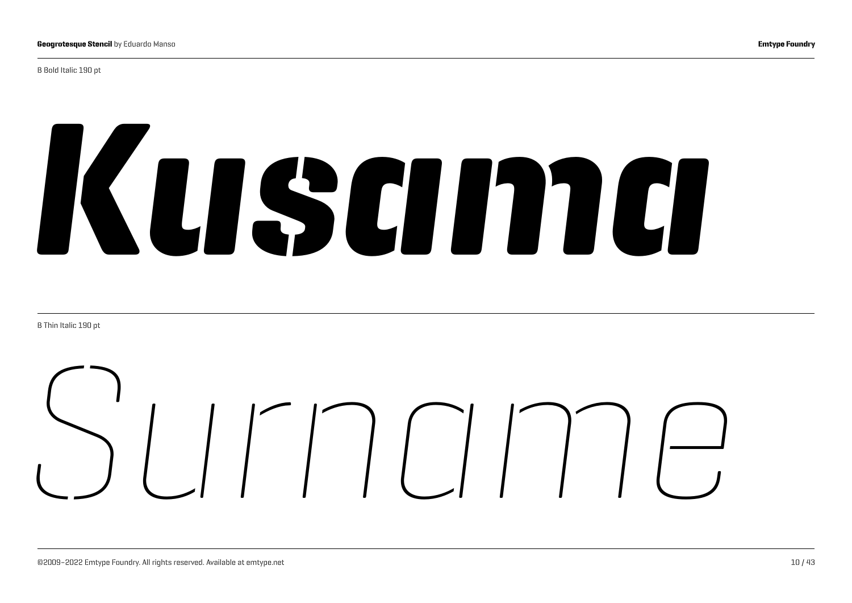B Bold Italic 190 pt

# *Kusama*

B Thin Italic 190 pt

# *Surname*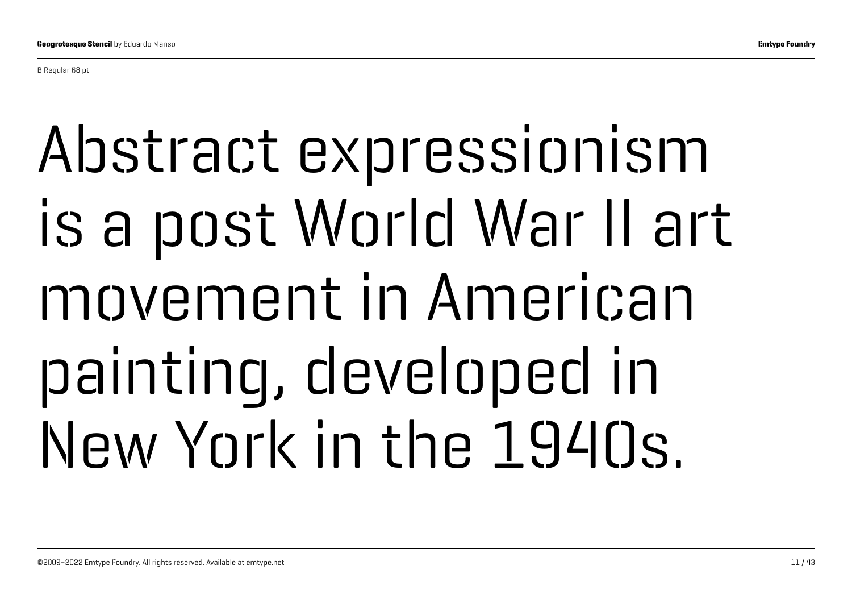B Regular 68 pt

# Abstract expressionism is a post World War II art movement in American painting, developed in New York in the 1940s.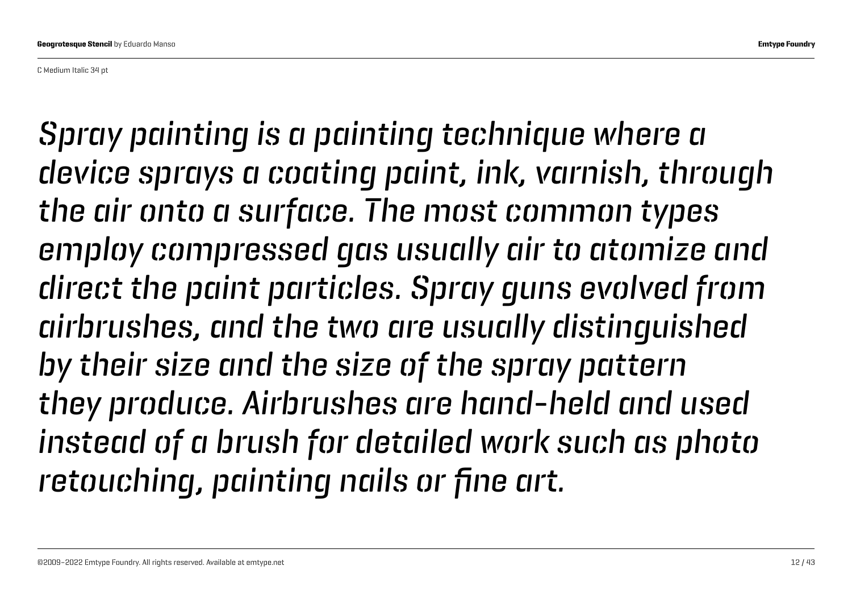C Medium Italic 34 pt

*Spray painting is a painting technique where a device sprays a coating paint, ink, varnish, through the air onto a surface. The most common types employ compressed gas usually air to atomize and direct the paint particles. Spray guns evolved from airbrushes, and the two are usually distinguished by their size and the size of the spray pattern they produce. Airbrushes are hand-held and used instead of a brush for detailed work such as photo retouching, painting nails or fine art.*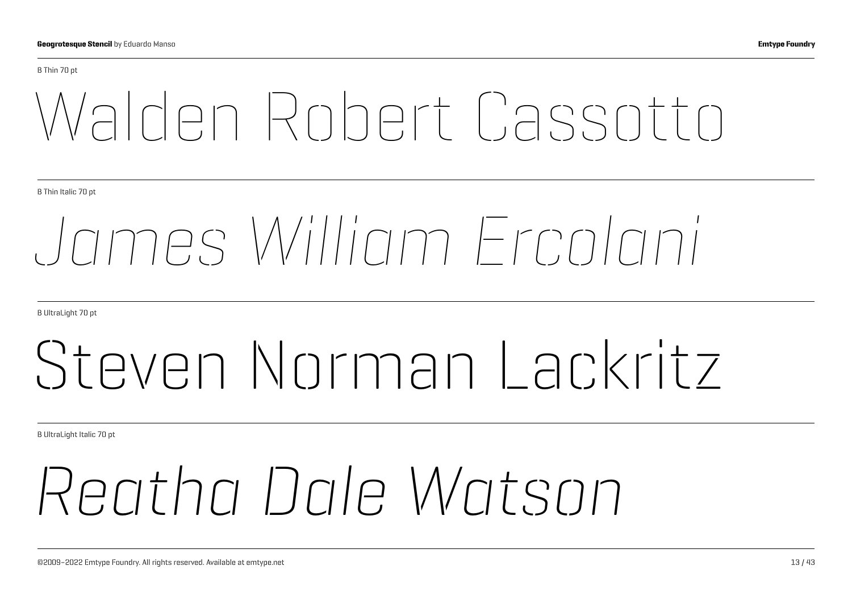#### B Thin 70 pt

## Walden Robert Cassotto

B Thin Italic 70 pt

## *James William Ercolani*

B UltraLight 70 pt

## Steven Norman Lackritz

B UltraLight Italic 70 pt

## *Reatha Dale Watson*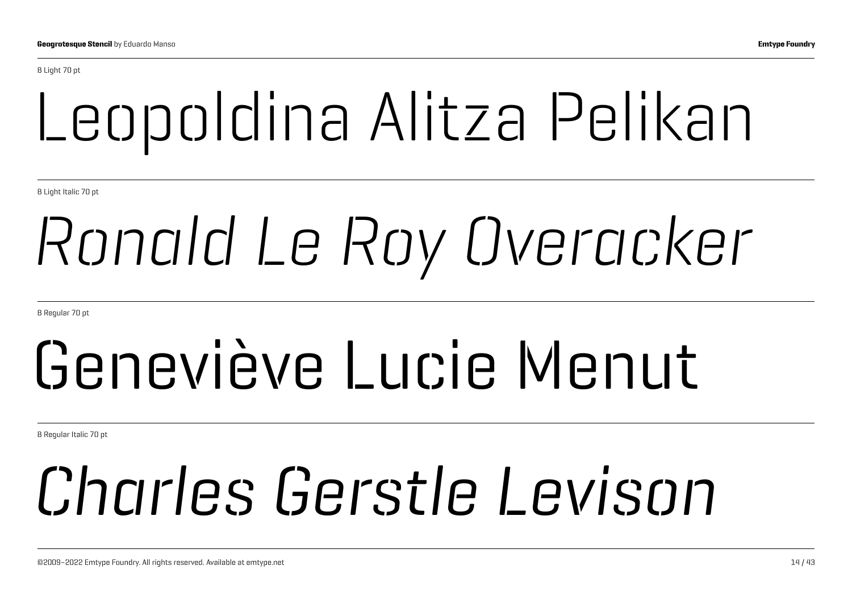B Light 70 pt

## Leopoldina Alitza Pelikan

B Light Italic 70 pt

## *Ronald Le Roy Overacker*

B Regular 70 pt

## Geneviève Lucie Menut

B Regular Italic 70 pt

## *Charles Gerstle Levison*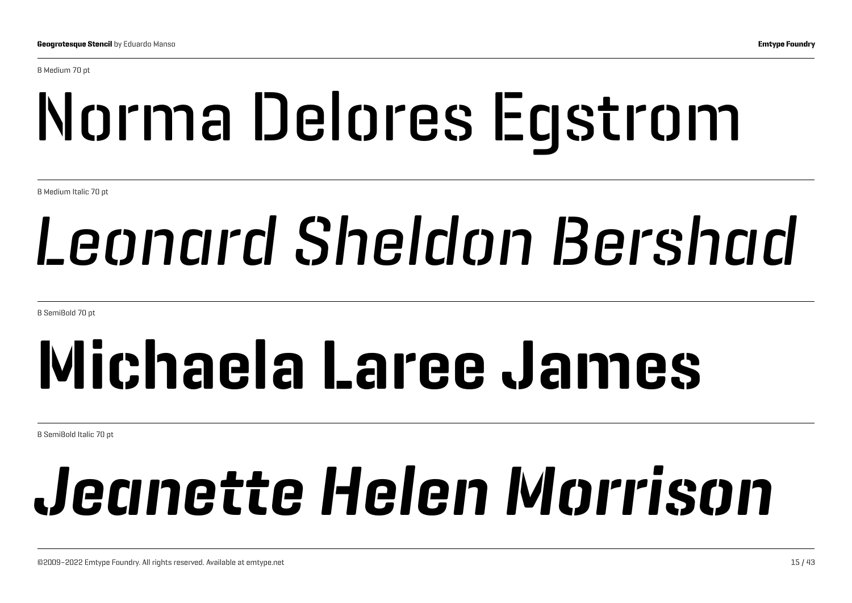B Medium 70 pt

# Norma Delores Egstrom

B Medium Italic 70 pt

## *Leonard Sheldon Bershad*

B SemiBold 70 pt

## Michaela Laree James

B SemiBold Italic 70 pt

# *Jeanette Helen Morrison*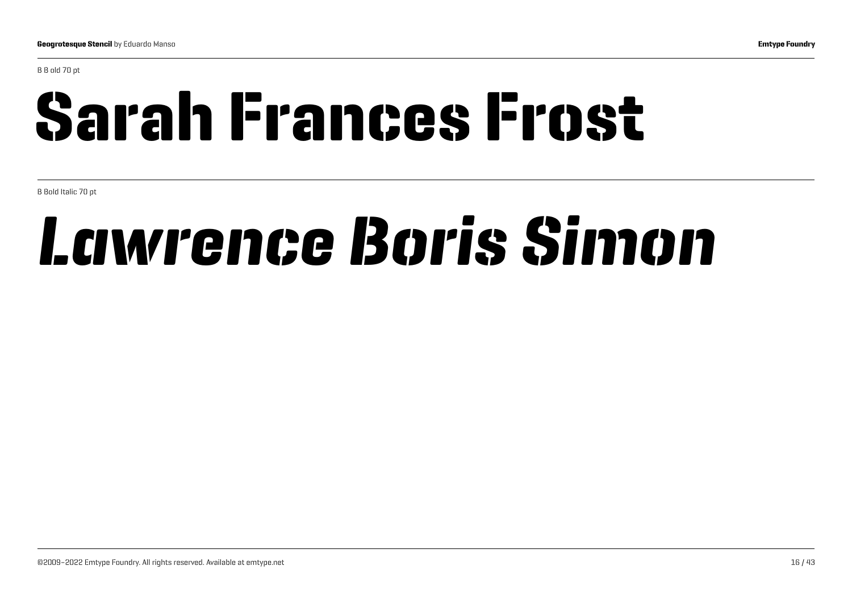B B old 70 pt

## Sarah Frances Frost

B Bold Italic 70 pt

## *Lawrence Boris Simon*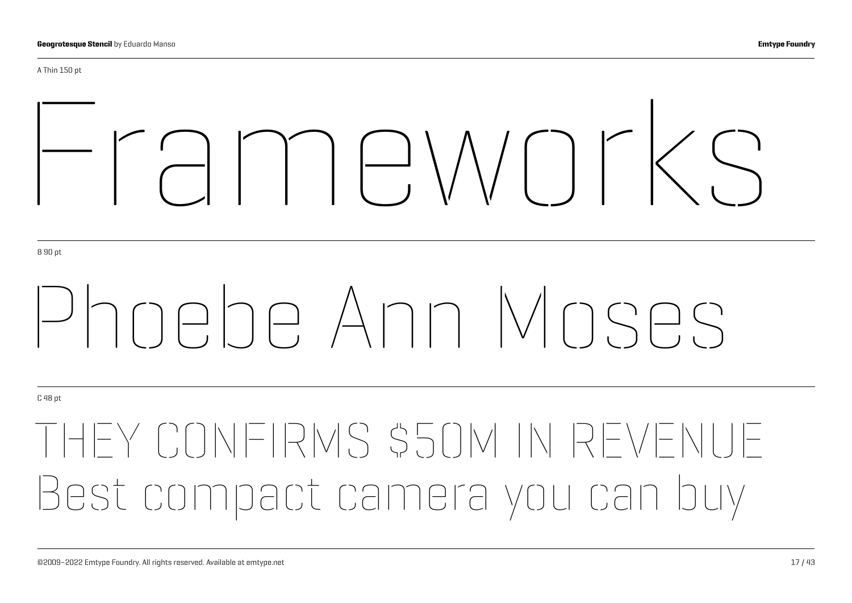A Thin 150 pt

# Frameworks

B 90 pt

# Phoebe Ann Moses

C 48 pt

## THEY CONFIRMS \$50M IN RE Best compact camera you can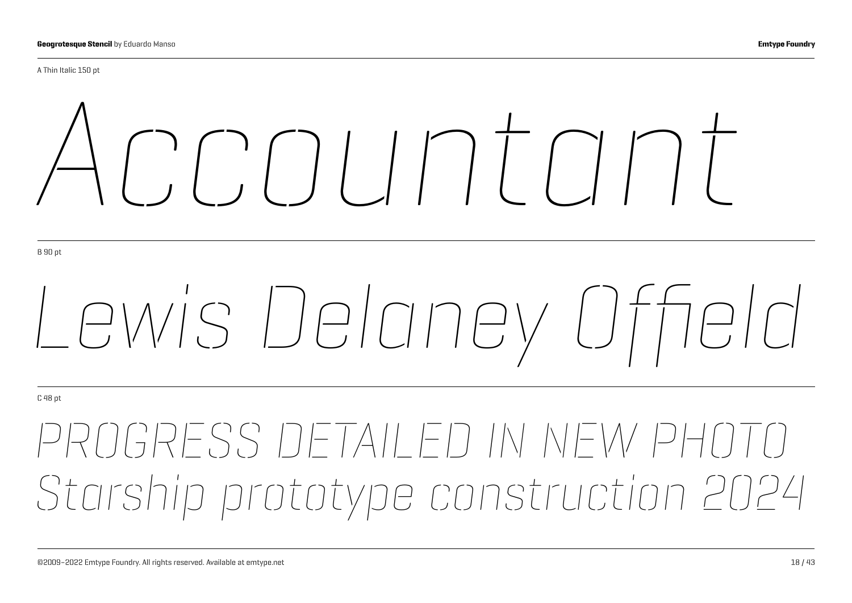A Thin Italic 150 pt

# *Accountant*

B 90 pt

# *Lewis Delaney Offield*

C 48 pt

## *PROGRESS DETAILED IN NEW PHOTO Starship prototype construction 2024*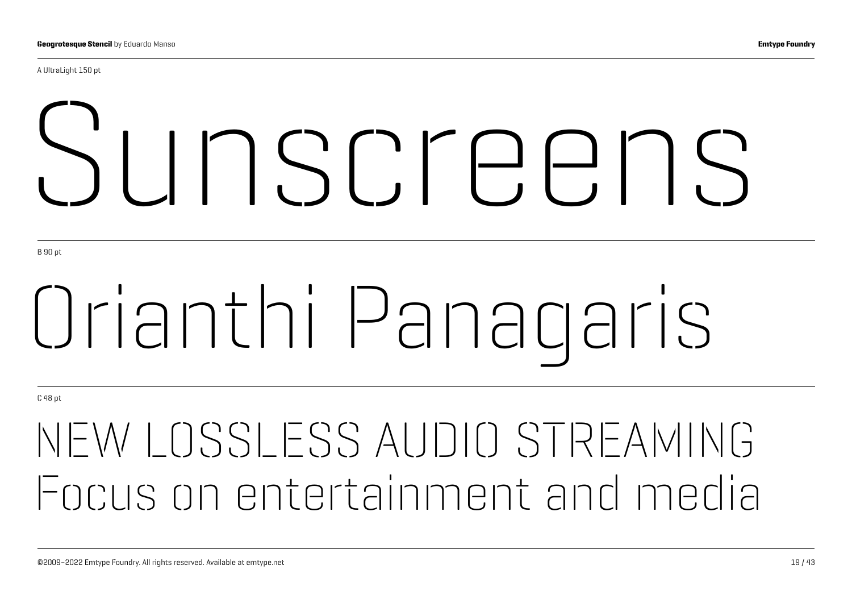A UltraLight 150 pt

# Sunscreens

B 90 pt

# Orianthi Panagaris

C 48 pt

## NEW LOSSLESS AUDIO STREAMING Focus on entertainment and media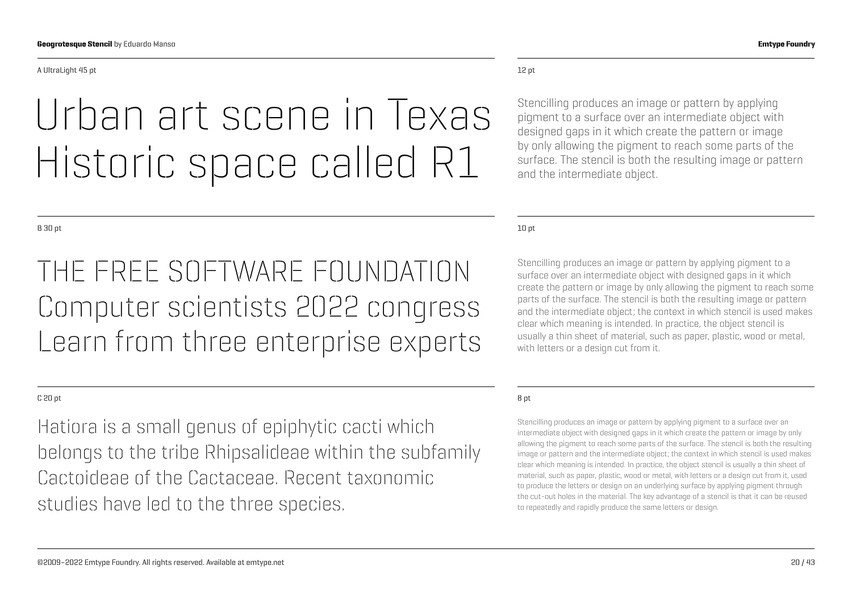#### A UltraLight 45 pt

### Urban art scene in Texas Historic space called R1

THE FREE SOFTWARE FOUNDATION Computer scientists 2022 congress Learn from three enterprise experts

#### C 20 pt

Hatiora is a small genus of epiphytic cacti which belongs to the tribe Rhipsalideae within the subfamily Cactoideae of the Cactaceae. Recent taxonomic studies have led to the three species.

#### 12 pt

Stencilling produces an image or pattern by applying pigment to a surface over an intermediate object with designed gaps in it which create the pattern or image by only allowing the pigment to reach some parts of the surface. The stencil is both the resulting image or pattern and the intermediate object.

10 pt

Stencilling produces an image or pattern by applying pigment to a surface over an intermediate object with designed gaps in it which create the pattern or image by only allowing the pigment to reach some parts of the surface. The stencil is both the resulting image or pattern and the intermediate object; the context in which stencil is used makes clear which meaning is intended. In practice, the object stencil is usually a thin sheet of material, such as paper, plastic, wood or metal, with letters or a design cut from it.

#### 8 pt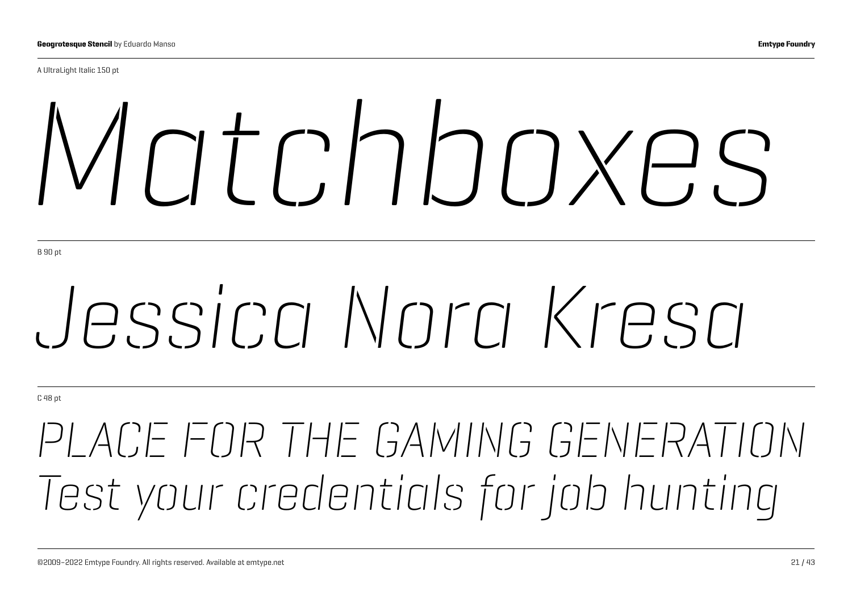A UltraLight Italic 150 pt

# *Matchboxes*

B 90 pt

# *Jessica Nora Kresa*

C 48 pt

## *PLACE FOR THE GAMING GENERATION Test your credentials for job hunting*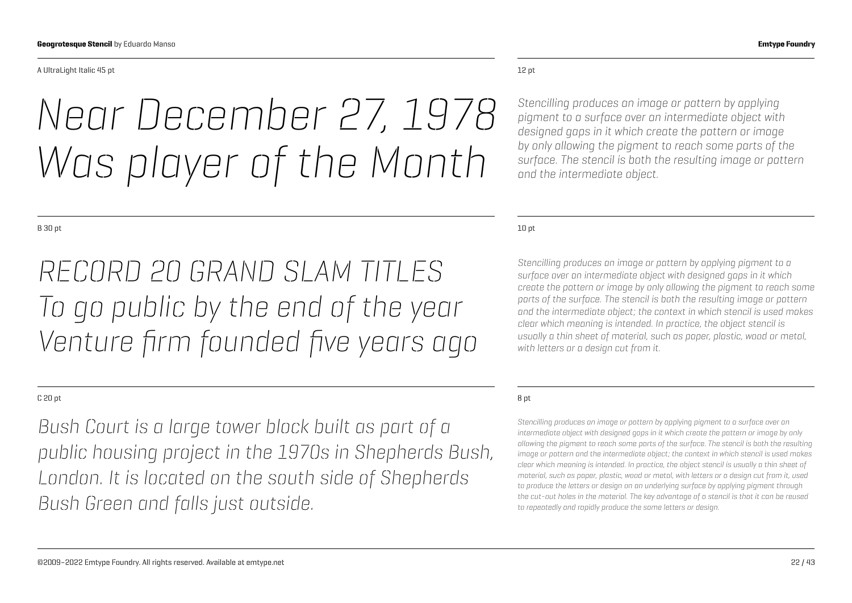#### A UltraLight Italic 45 pt

## *Near December 27, 1978 Was player of the Month*

#### B 30 pt

*RECORD 20 GRAND SLAM TITLES To go public by the end of the year Venture firm founded five years ago*

#### C 20 pt

*Bush Court is a large tower block built as part of a public housing project in the 1970s in Shepherds Bush, London. It is located on the south side of Shepherds Bush Green and falls just outside.*

#### 12 pt

*Stencilling produces an image or pattern by applying pigment to a surface over an intermediate object with designed gaps in it which create the pattern or image by only allowing the pigment to reach some parts of the surface. The stencil is both the resulting image or pattern and the intermediate object.*

#### 10 pt

*Stencilling produces an image or pattern by applying pigment to a surface over an intermediate object with designed gaps in it which create the pattern or image by only allowing the pigment to reach some parts of the surface. The stencil is both the resulting image or pattern and the intermediate object; the context in which stencil is used makes clear which meaning is intended. In practice, the object stencil is usually a thin sheet of material, such as paper, plastic, wood or metal, with letters or a design cut from it.*

#### 8 pt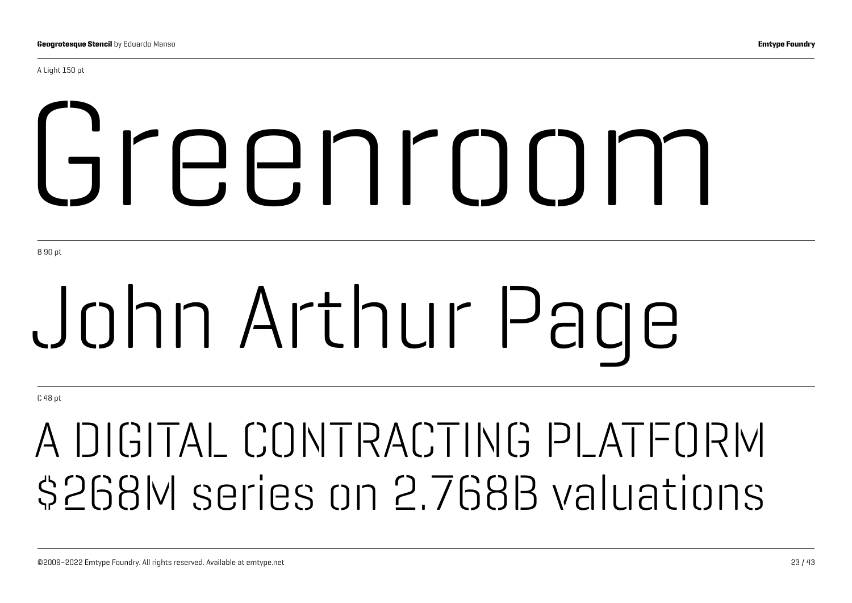A Light 150 pt

# Greenroom

B 90 pt

# John Arthur Page

C 48 pt

## A DIGITAL CONTRACTING PLATFORM \$268M series on 2.768B valuations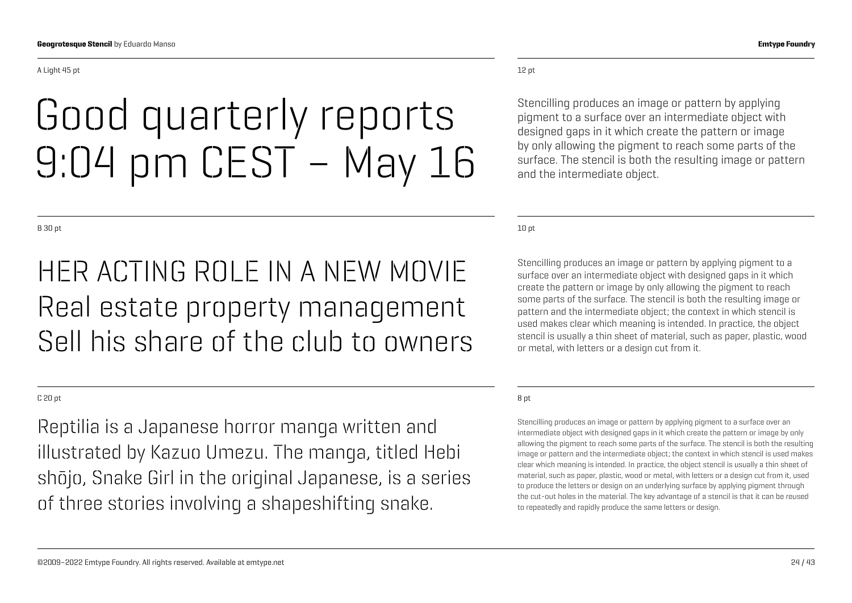#### A Light 45 pt

### Good quarterly reports 9:04 pm CEST – May 16

#### B 30 pt

### HER ACTING ROLE IN A NEW MOVIE Real estate property management Sell his share of the club to owners

#### C 20 pt

Reptilia is a Japanese horror manga written and illustrated by Kazuo Umezu. The manga, titled Hebi shōjo, Snake Girl in the original Japanese, is a series of three stories involving a shapeshifting snake.

#### 12 pt

Stencilling produces an image or pattern by applying pigment to a surface over an intermediate object with designed gaps in it which create the pattern or image by only allowing the pigment to reach some parts of the surface. The stencil is both the resulting image or pattern and the intermediate object.

10 pt

Stencilling produces an image or pattern by applying pigment to a surface over an intermediate object with designed gaps in it which create the pattern or image by only allowing the pigment to reach some parts of the surface. The stencil is both the resulting image or pattern and the intermediate object; the context in which stencil is used makes clear which meaning is intended. In practice, the object stencil is usually a thin sheet of material, such as paper, plastic, wood or metal, with letters or a design cut from it.

#### 8 pt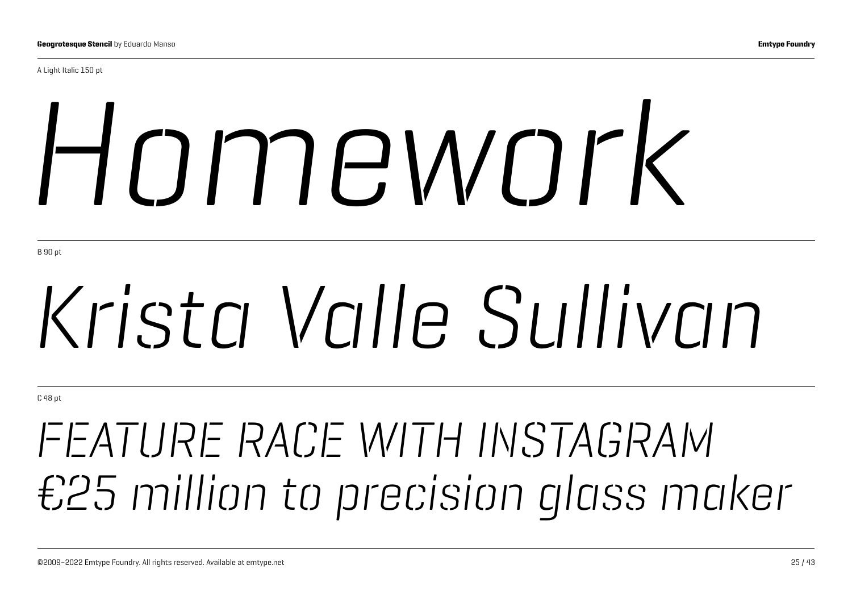A Light Italic 150 pt

# *Homework*

B 90 pt

# *Krista Valle Sullivan*

C 48 pt

## *FEATURE RACE WITH INSTAGRAM €25 million to precision glass maker*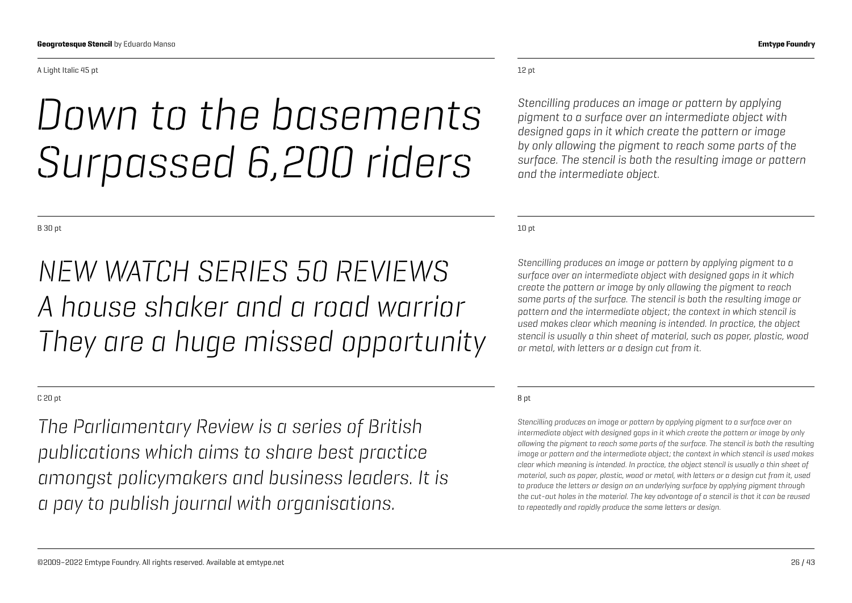#### A Light Italic 45 pt

### *Down to the basements Surpassed 6,200 riders*

B 30 pt

### *NEW WATCH SERIES 50 REVIEWS A house shaker and a road warrior They are a huge missed opportunity*

#### C 20 pt

*The Parliamentary Review is a series of British publications which aims to share best practice amongst policymakers and business leaders. It is a pay to publish journal with organisations.*

*Stencilling produces an image or pattern by applying pigment to a surface over an intermediate object with designed gaps in it which create the pattern or image by only allowing the pigment to reach some parts of the surface. The stencil is both the resulting image or pattern and the intermediate object.*

10 pt

*Stencilling produces an image or pattern by applying pigment to a surface over an intermediate object with designed gaps in it which create the pattern or image by only allowing the pigment to reach some parts of the surface. The stencil is both the resulting image or pattern and the intermediate object; the context in which stencil is used makes clear which meaning is intended. In practice, the object stencil is usually a thin sheet of material, such as paper, plastic, wood or metal, with letters or a design cut from it.*

#### 8 pt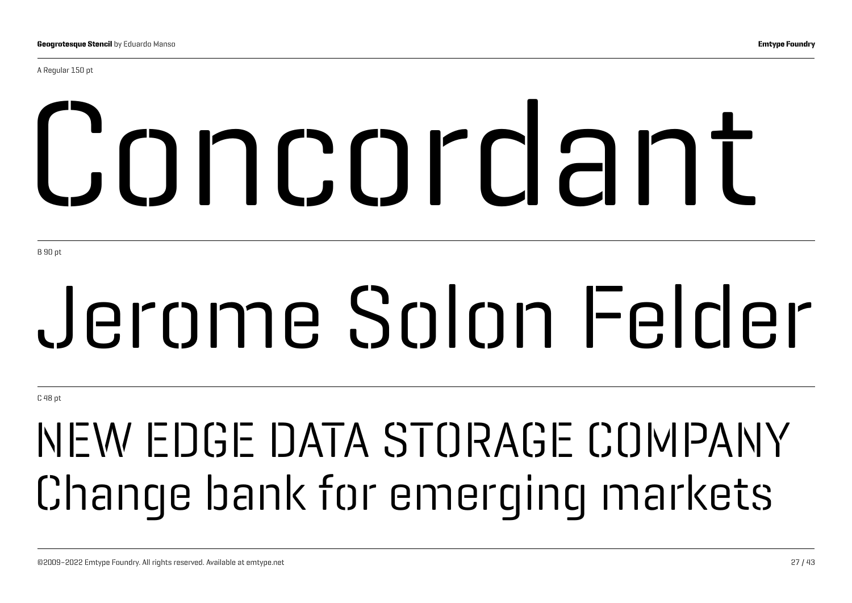A Regular 150 pt

# Concordant

B 90 pt

# Jerome Solon Felder

C 48 pt

## NEW EDGE DATA STORAGE COMPANY Change bank for emerging markets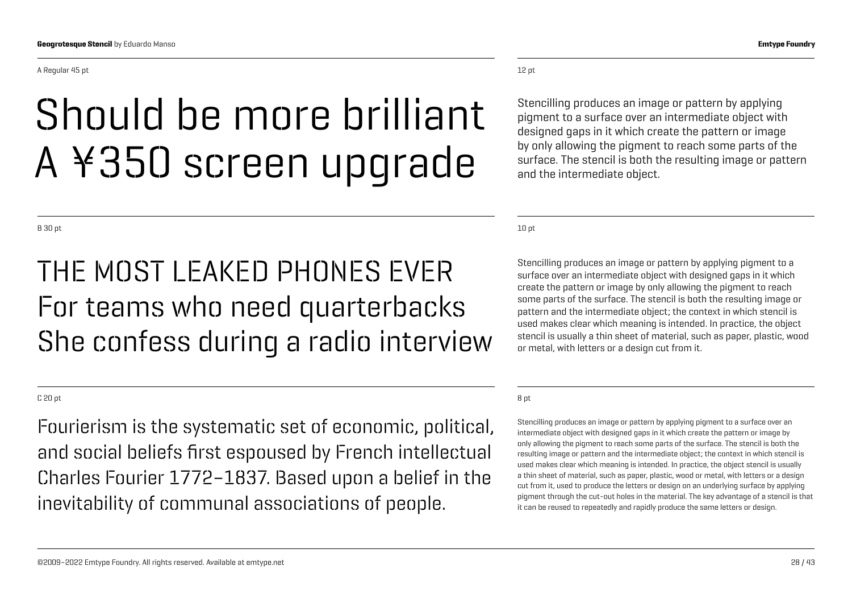A Regular 45 pt

## Should be more brilliant A ¥350 screen upgrade

B 30 pt

### THE MOST LEAKED PHONES EVER For teams who need quarterbacks She confess during a radio interview

#### C 20 pt

Fourierism is the systematic set of economic, political, and social beliefs first espoused by French intellectual Charles Fourier 1772–1837. Based upon a belief in the inevitability of communal associations of people.

#### 12 pt

Stencilling produces an image or pattern by applying pigment to a surface over an intermediate object with designed gaps in it which create the pattern or image by only allowing the pigment to reach some parts of the surface. The stencil is both the resulting image or pattern and the intermediate object.

10 pt

Stencilling produces an image or pattern by applying pigment to a surface over an intermediate object with designed gaps in it which create the pattern or image by only allowing the pigment to reach some parts of the surface. The stencil is both the resulting image or pattern and the intermediate object; the context in which stencil is used makes clear which meaning is intended. In practice, the object stencil is usually a thin sheet of material, such as paper, plastic, wood or metal, with letters or a design cut from it.

#### 8 pt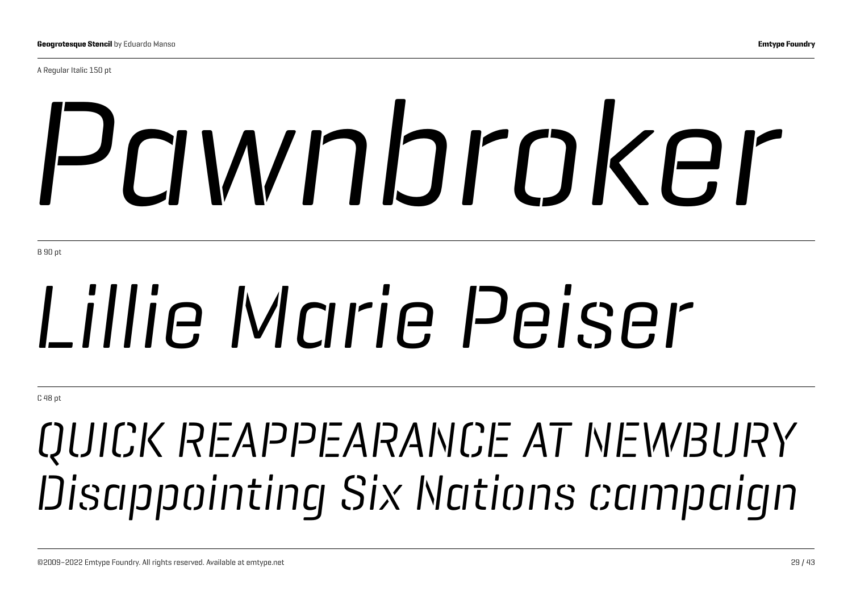A Regular Italic 150 pt

# *Pawnbroker*

B 90 pt

# *Lillie Marie Peiser*

C 48 pt

## *QUICK REAPPEARANCE AT NEWBURY Disappointing Six Nations campaign*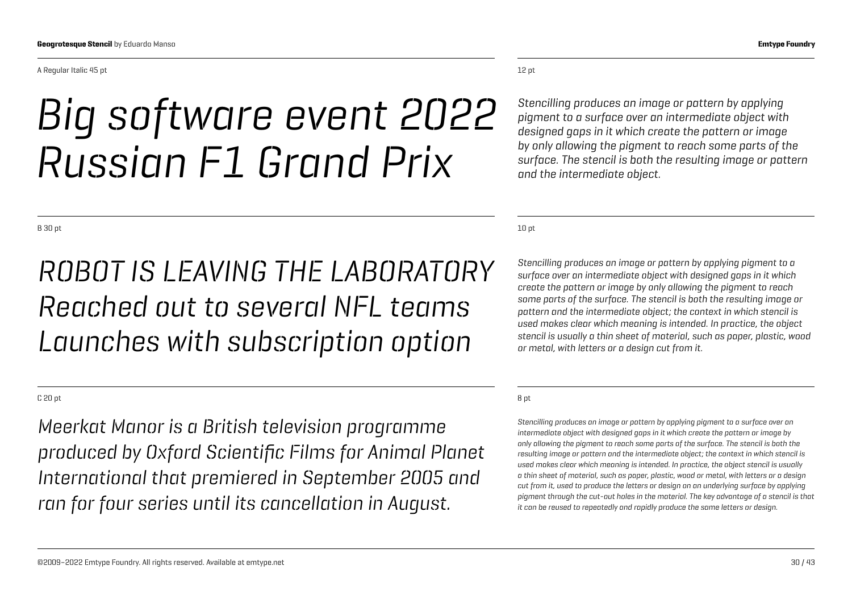#### A Regular Italic 45 pt

### *Big software event 2022 Russian F1 Grand Prix*

12 pt

*Stencilling produces an image or pattern by applying pigment to a surface over an intermediate object with designed gaps in it which create the pattern or image by only allowing the pigment to reach some parts of the surface. The stencil is both the resulting image or pattern and the intermediate object.*

10 pt

*Stencilling produces an image or pattern by applying pigment to a surface over an intermediate object with designed gaps in it which create the pattern or image by only allowing the pigment to reach some parts of the surface. The stencil is both the resulting image or pattern and the intermediate object; the context in which stencil is used makes clear which meaning is intended. In practice, the object stencil is usually a thin sheet of material, such as paper, plastic, wood or metal, with letters or a design cut from it.*

#### 8 pt

*Stencilling produces an image or pattern by applying pigment to a surface over an intermediate object with designed gaps in it which create the pattern or image by only allowing the pigment to reach some parts of the surface. The stencil is both the resulting image or pattern and the intermediate object; the context in which stencil is used makes clear which meaning is intended. In practice, the object stencil is usually a thin sheet of material, such as paper, plastic, wood or metal, with letters or a design cut from it, used to produce the letters or design on an underlying surface by applying pigment through the cut-out holes in the material. The key advantage of a stencil is that it can be reused to repeatedly and rapidly produce the same letters or design.*

B 30 pt

### *ROBOT IS LEAVING THE LABORATORY Reached out to several NFL teams Launches with subscription option*

#### C 20 pt

*Meerkat Manor is a British television programme produced by Oxford Scientific Films for Animal Planet International that premiered in September 2005 and ran for four series until its cancellation in August.*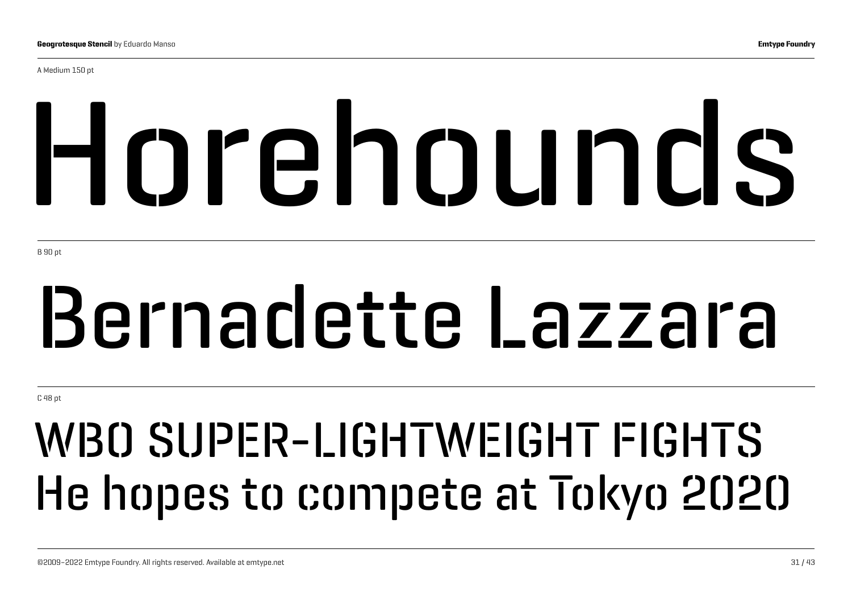A Medium 150 pt

# Horehounds

B 90 pt

# Bernadette Lazzara

C 48 pt

## WBO SUPER-LIGHTWEIGHT FIGHTS He hopes to compete at Tokyo 2020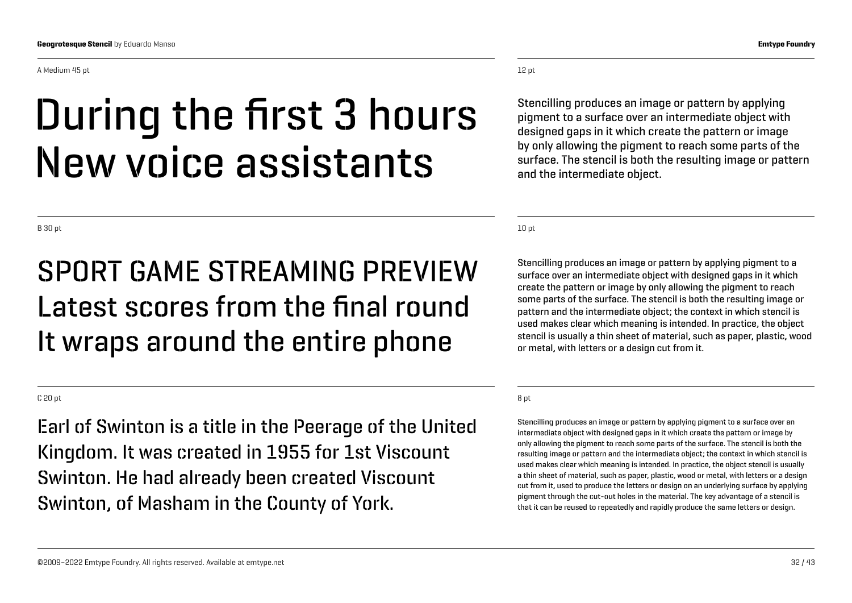A Medium 45 pt

### During the first 3 hours New voice assistants

B 30 pt

### SPORT GAME STREAMING PREVIEW Latest scores from the final round It wraps around the entire phone

#### C 20 pt

Earl of Swinton is a title in the Peerage of the United Kingdom. It was created in 1955 for 1st Viscount Swinton. He had already been created Viscount Swinton, of Masham in the County of York.

©2009–2022 Emtype Foundry. All rights reserved. Available at emtype.net 32 / 43

#### 12 pt

Stencilling produces an image or pattern by applying pigment to a surface over an intermediate object with designed gaps in it which create the pattern or image by only allowing the pigment to reach some parts of the surface. The stencil is both the resulting image or pattern and the intermediate object.

10 pt

Stencilling produces an image or pattern by applying pigment to a surface over an intermediate object with designed gaps in it which create the pattern or image by only allowing the pigment to reach some parts of the surface. The stencil is both the resulting image or pattern and the intermediate object; the context in which stencil is used makes clear which meaning is intended. In practice, the object stencil is usually a thin sheet of material, such as paper, plastic, wood or metal, with letters or a design cut from it.

#### 8 pt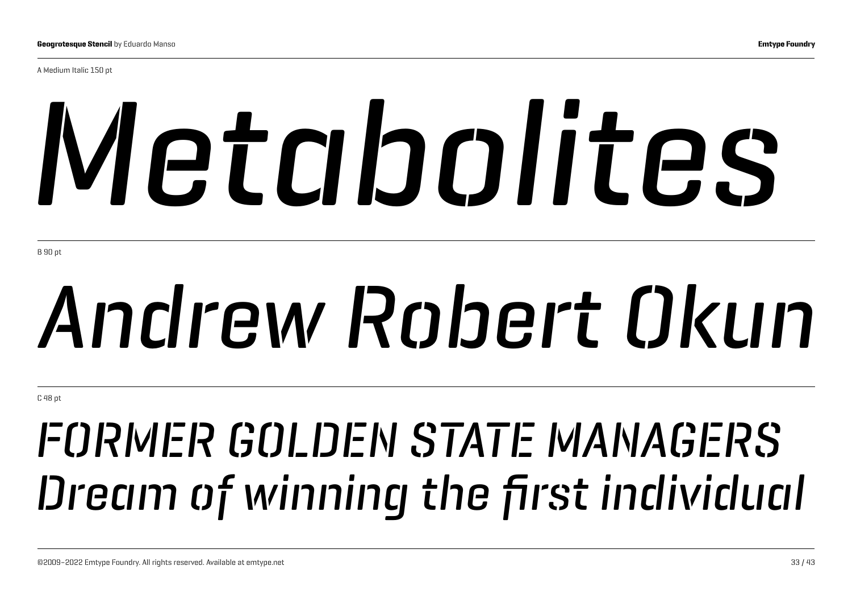A Medium Italic 150 pt

# *Metabolites*

B 90 pt

# *Andrew Robert Okun*

C 48 pt

## *FORMER GOLDEN STATE MANAGERS Dream of winning the first individual*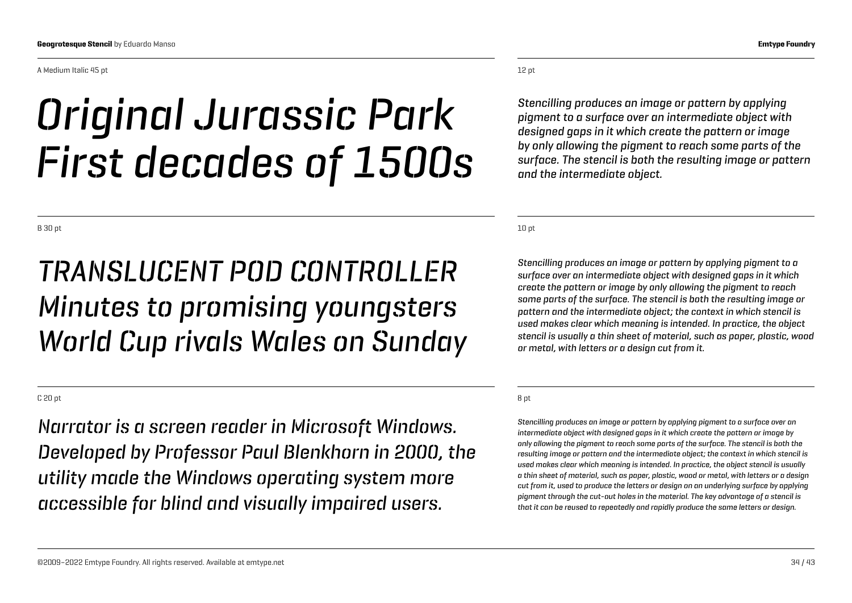A Medium Italic 45 pt

## *Original Jurassic Park First decades of 1500s*

B 30 pt

### *TRANSLUCENT POD CONTROLLER Minutes to promising youngsters World Cup rivals Wales on Sunday*

C 20 pt

*Narrator is a screen reader in Microsoft Windows. Developed by Professor Paul Blenkhorn in 2000, the utility made the Windows operating system more accessible for blind and visually impaired users.*

12 pt

*Stencilling produces an image or pattern by applying pigment to a surface over an intermediate object with designed gaps in it which create the pattern or image by only allowing the pigment to reach some parts of the surface. The stencil is both the resulting image or pattern and the intermediate object.*

10 pt

*Stencilling produces an image or pattern by applying pigment to a surface over an intermediate object with designed gaps in it which create the pattern or image by only allowing the pigment to reach some parts of the surface. The stencil is both the resulting image or pattern and the intermediate object; the context in which stencil is used makes clear which meaning is intended. In practice, the object stencil is usually a thin sheet of material, such as paper, plastic, wood or metal, with letters or a design cut from it.*

#### 8 pt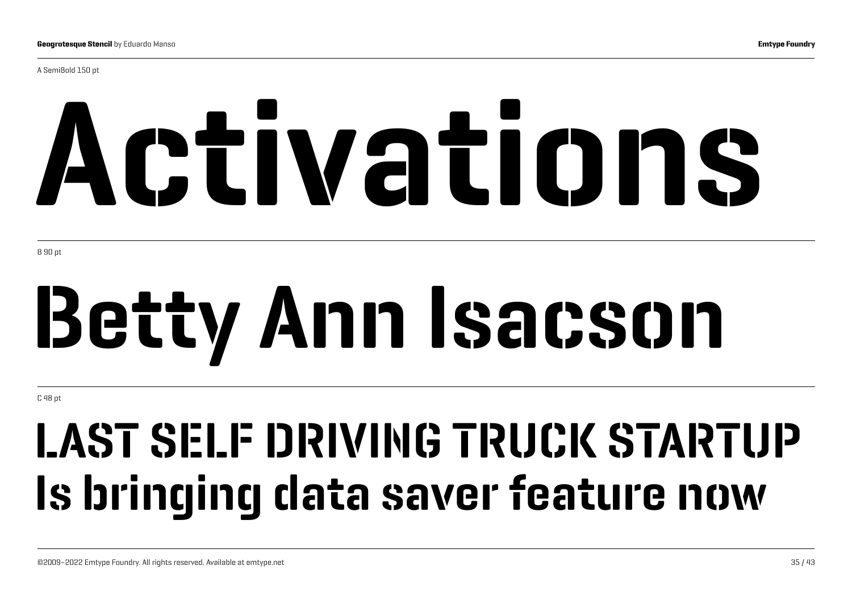A SemiBold 150 pt

# Activations

B 90 pt

# Betty Ann Isacson

C 48 pt

## LAST SELF DRIVING TRUCK STARTUP Is bringing data saver feature now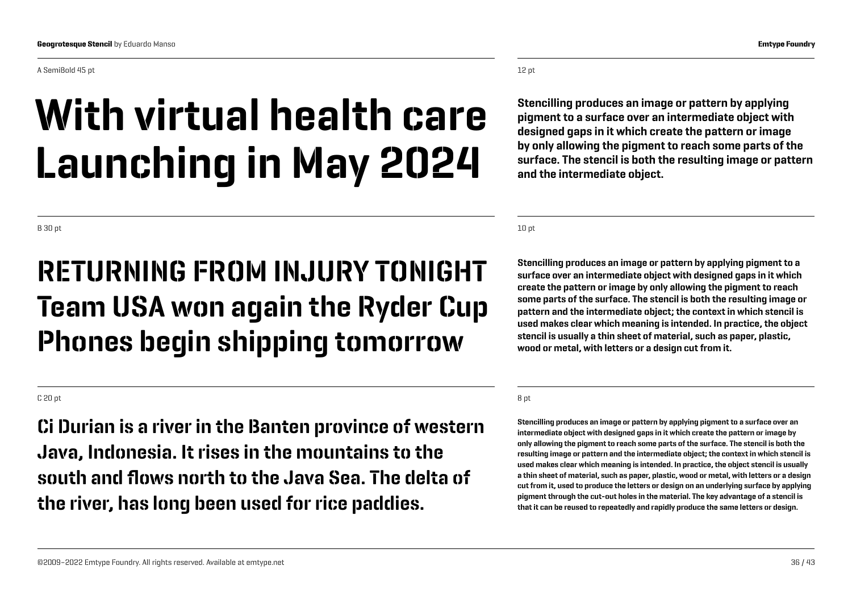#### A SemiBold 45 pt

## With virtual health care Launching in May 2024

B 30 pt

### RETURNING FROM INJURY TONIGHT Team USA won again the Ryder Cup Phones begin shipping tomorrow

#### C 20 pt

Ci Durian is a river in the Banten province of western Java, Indonesia. It rises in the mountains to the south and flows north to the Java Sea. The delta of the river, has long been used for rice paddies.

#### 12 pt

Stencilling produces an image or pattern by applying pigment to a surface over an intermediate object with designed gaps in it which create the pattern or image by only allowing the pigment to reach some parts of the surface. The stencil is both the resulting image or pattern and the intermediate object.

10 pt

Stencilling produces an image or pattern by applying pigment to a surface over an intermediate object with designed gaps in it which create the pattern or image by only allowing the pigment to reach some parts of the surface. The stencil is both the resulting image or pattern and the intermediate object; the context in which stencil is used makes clear which meaning is intended. In practice, the object stencil is usually a thin sheet of material, such as paper, plastic, wood or metal, with letters or a design cut from it.

#### 8 pt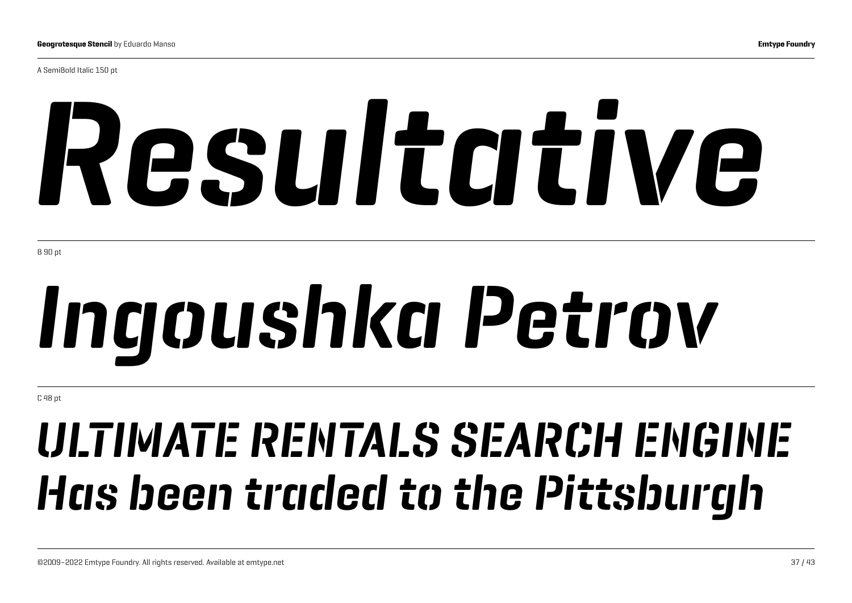A SemiBold Italic 150 pt

# *Resultative*

B 90 pt

# *Ingoushka Petrov*

C 48 pt

## *ULTIMATE RENTALS SEARCH ENGINE Has been traded to the Pittsburgh*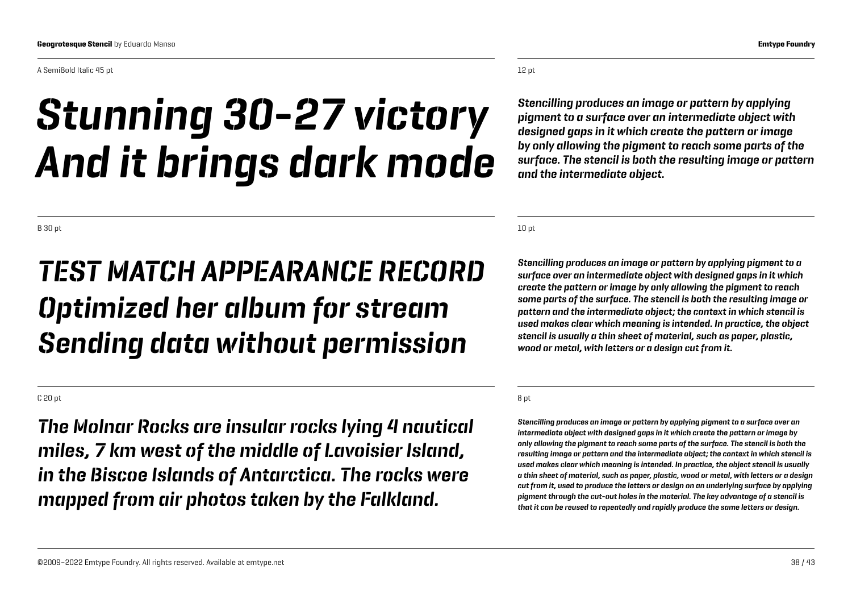#### A SemiBold Italic 45 pt

### *Stunning 30-27 victory And it brings dark mode*

B 30 pt

### *TEST MATCH APPEARANCE RECORD Optimized her album for stream Sending data without permission*

#### C 20 pt

*The Molnar Rocks are insular rocks lying 4 nautical miles, 7 km west of the middle of Lavoisier Island, in the Biscoe Islands of Antarctica. The rocks were mapped from air photos taken by the Falkland.*

#### 12 pt

*Stencilling produces an image or pattern by applying pigment to a surface over an intermediate object with designed gaps in it which create the pattern or image by only allowing the pigment to reach some parts of the surface. The stencil is both the resulting image or pattern and the intermediate object.*

10 pt

*Stencilling produces an image or pattern by applying pigment to a surface over an intermediate object with designed gaps in it which create the pattern or image by only allowing the pigment to reach some parts of the surface. The stencil is both the resulting image or pattern and the intermediate object; the context in which stencil is used makes clear which meaning is intended. In practice, the object stencil is usually a thin sheet of material, such as paper, plastic, wood or metal, with letters or a design cut from it.*

#### 8 pt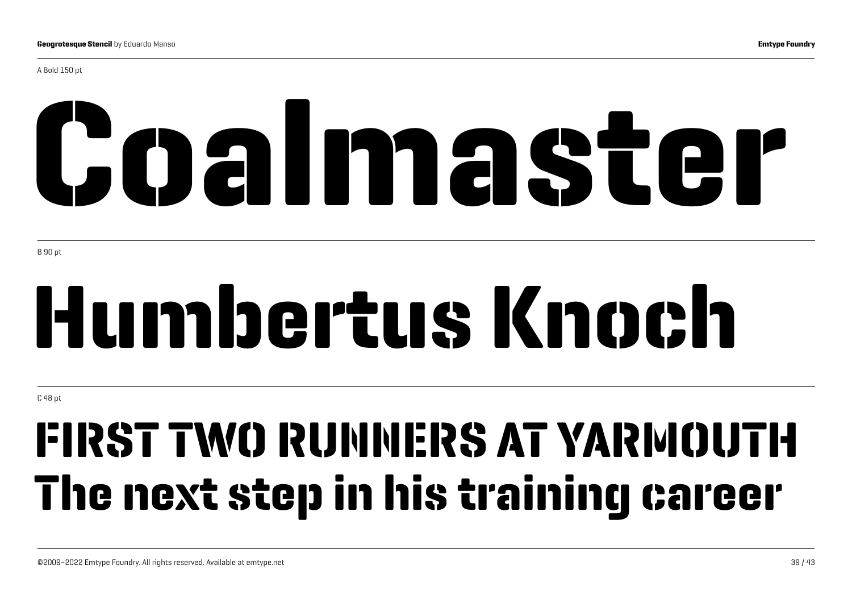A Bold 150 pt

# Coalmaster

B 90 pt

# Humbertus Knoch

C 48 pt

## FIRST TWO RUNNERS AT YARMOUTH The next step in his training career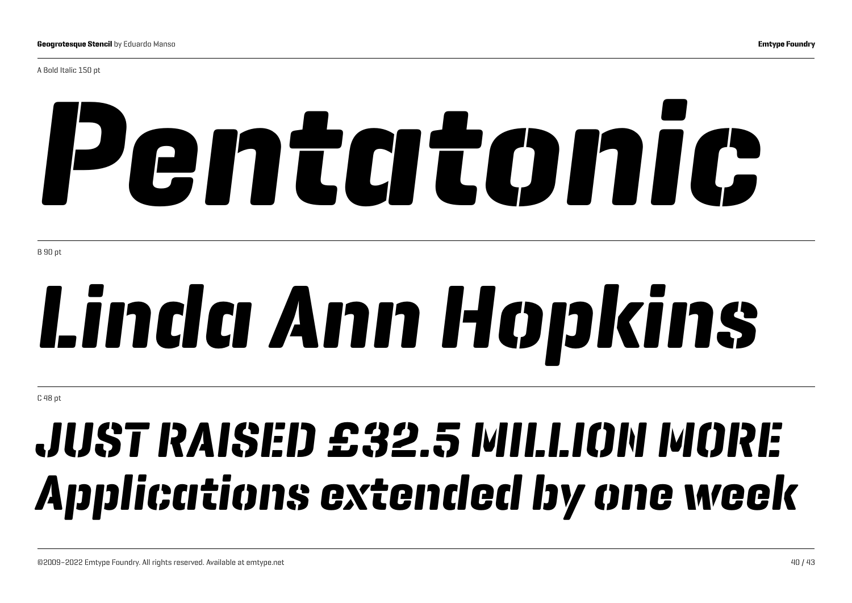A Bold Italic 150 pt

# *Pentatonic*

B 90 pt

# *Linda Ann Hopkins*

C 48 pt

## *JUST RAISED £32.5 MILLION MORE Applications extended by one week*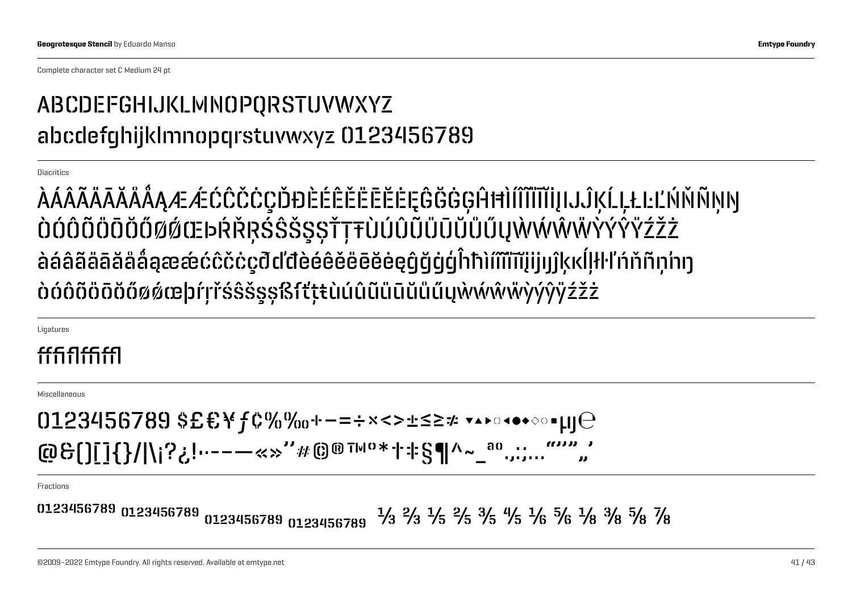Complete character set C Medium 24 pt

#### ABCDEFGHIJKLMNOPQRSTUVWXYZ abcdefghijklmnopqrstuvwxyz 0123456789

Diacritics

ÀÁÂÃÄĀĂÅÅĄÆÆÓĈČĊÇĎĐÈÉÊĔĔĒĔĘĜĞĠĢĤĦÌÍĨĨĬĪĬĮIJĴĶĹĻŁĿĽŃŇÑŅŊ ÒÓÔÕÖÖŎŐØØŒÞŔŘŖŚŜŠŞŞŤŢŦÙÚÛŨŨŨŨŰŰŲŴŴŴŸÝŶŸŹŽŻ àáâãäāăåǻąæǽćĉčċçðďđèéêěëēĕėęĝğġģĥħìíîĩïīĭįijıȷĵķĸĺļłŀľńňñņ'nŋ òóôõöōŏőøǿœþŕŗřśŝšşșßſťţŧùúûũüūŭůűųẁẃŵẅỳýŷÿźžż

Ligatures

#### fffiffffl

Miscellaneous

 $0123456789$  \$£€\f¢%%…−=÷×<>±≤≥≠ ▼▲▶□◀●◆◇◦µµ $\Theta$ @&()[]{}/|\¡?¿!•·-–—«»''#©®™°\*†‡§¶^~\_ªº.,:;…"''""'

Fractions

�¹²³������ ���������� ₀₁₂₃₄₅₆₇�� ⅓ ⅔ ⅕ ⅖ ⅗ ⅘ ⅙ ⅚ ⅛ ⅜ ⅝ ⅞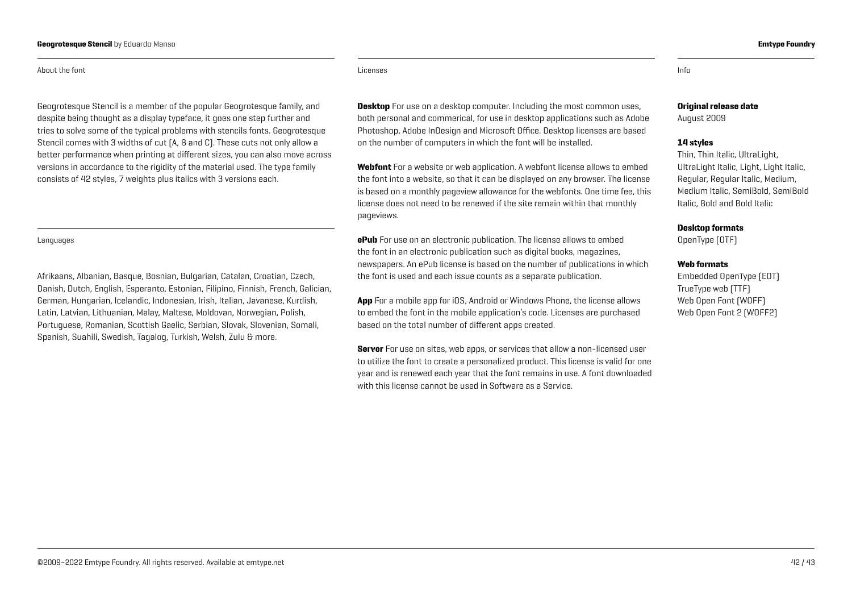#### About the font

Geogrotesque Stencil is a member of the popular Geogrotesque family, and despite being thought as a display typeface, it goes one step further and tries to solve some of the typical problems with stencils fonts. Geogrotesque Stencil comes with 3 widths of cut (A, B and C). These cuts not only allow a better performance when printing at different sizes, you can also move across versions in accordance to the rigidity of the material used. The type family consists of 42 styles, 7 weights plus italics with 3 versions each.

#### Languages

Afrikaans, Albanian, Basque, Bosnian, Bulgarian, Catalan, Croatian, Czech, Danish, Dutch, English, Esperanto, Estonian, Filipino, Finnish, French, Galician, German, Hungarian, Icelandic, Indonesian, Irish, Italian, Javanese, Kurdish, Latin, Latvian, Lithuanian, Malay, Maltese, Moldovan, Norwegian, Polish, Portuguese, Romanian, Scottish Gaelic, Serbian, Slovak, Slovenian, Somali, Spanish, Suahili, Swedish, Tagalog, Turkish, Welsh, Zulu & more.

Licenses Info and the control of the control of the control of the control of the control of the control of th

**Desktop** For use on a desktop computer. Including the most common uses, both personal and commerical, for use in desktop applications such as Adobe Photoshop, Adobe InDesign and Microsoft Office. Desktop licenses are based on the number of computers in which the font will be installed.

Webfont For a website or web application. A webfont license allows to embed the font into a website, so that it can be displayed on any browser. The license is based on a monthly pageview allowance for the webfonts. One time fee, this license does not need to be renewed if the site remain within that monthly pageviews.

**ePub** For use on an electronic publication. The license allows to embed the font in an electronic publication such as digital books, magazines, newspapers. An ePub license is based on the number of publications in which the font is used and each issue counts as a separate publication.

App For a mobile app for iOS, Android or Windows Phone, the license allows to embed the font in the mobile application's code. Licenses are purchased based on the total number of different apps created.

Server For use on sites, web apps, or services that allow a non-licensed user to utilize the font to create a personalized product. This license is valid for one year and is renewed each year that the font remains in use. A font downloaded with this license cannot be used in Software as a Service.

#### Original release date

August 2009

#### 14 styles

Thin, Thin Italic, UltraLight, UltraLight Italic, Light, Light Italic, Regular, Regular Italic, Medium, Medium Italic, SemiBold, SemiBold Italic, Bold and Bold Italic

#### Desktop formats

OpenType (OTF)

#### Web formats

Embedded OpenType (EOT) TrueType web (TTF) Web Open Font (WOFF) Web Open Font 2 (WOFF2)